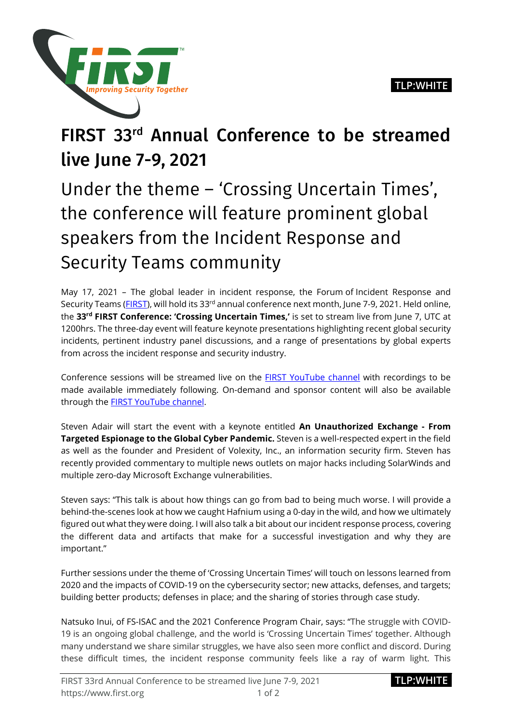

## FIRST 33rd Annual Conference to be streamed live June 7-9, 2021

Under the theme – 'Crossing Uncertain Times', the conference will feature prominent global speakers from the Incident Response and Security Teams community

May 17, 2021 – The global leader in incident response, the Forum of Incident Response and Security Teams [\(FIRST\)](https://first.org/), will hold its 33<sup>rd</sup> annual conference next month, June 7-9, 2021. Held online, the **33rd FIRST Conference: 'Crossing Uncertain Times,'** is set to stream live from June 7, UTC at 1200hrs. The three-day event will feature keynote presentations highlighting recent global security incidents, pertinent industry panel discussions, and a range of presentations by global experts from across the incident response and security industry.

Conference sessions will be streamed live on the [FIRST YouTube channel](https://www.youtube.com/c/firstdotorg) with recordings to be made available immediately following. On-demand and sponsor content will also be available through the **FIRST YouTube channel**.

Steven Adair will start the event with a keynote entitled **An Unauthorized Exchange - From Targeted Espionage to the Global Cyber Pandemic.** Steven is a well-respected expert in the field as well as the founder and President of Volexity, Inc., an information security firm. Steven has recently provided commentary to multiple news outlets on major hacks including SolarWinds and multiple zero-day Microsoft Exchange vulnerabilities.

Steven says: "This talk is about how things can go from bad to being much worse. I will provide a behind-the-scenes look at how we caught Hafnium using a 0-day in the wild, and how we ultimately figured out what they were doing. I will also talk a bit about our incident response process, covering the different data and artifacts that make for a successful investigation and why they are important."

Further sessions under the theme of 'Crossing Uncertain Times' will touch on lessons learned from 2020 and the impacts of COVID-19 on the cybersecurity sector; new attacks, defenses, and targets; building better products; defenses in place; and the sharing of stories through case study.

Natsuko Inui, of FS-ISAC and the 2021 Conference Program Chair, says: "The struggle with COVID-19 is an ongoing global challenge, and the world is 'Crossing Uncertain Times' together. Although many understand we share similar struggles, we have also seen more conflict and discord. During these difficult times, the incident response community feels like a ray of warm light. This